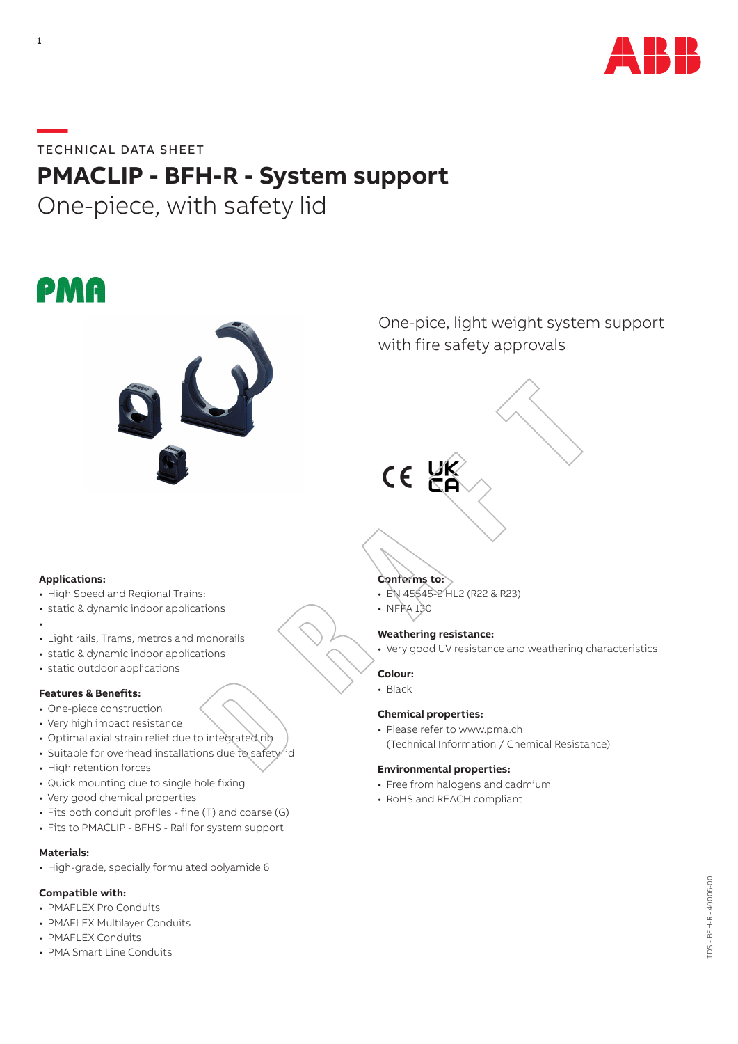

**—**TECHNICAL DATA SHEET

# **PMACLIP - BFH-R - System support**

One-piece, with safety lid





One-pice, light weight system support with fire safety approvals

# $C \in$

## **Applications:**

- High Speed and Regional Trains:
- static & dynamic indoor applications
- •
- Light rails, Trams, metros and monorails
- static & dynamic indoor applications
- static outdoor applications

# **Features & Benefits:**

- One-piece construction
- Very high impact resistance
- Optimal axial strain relief due to integrated rib
- Suitable for overhead installations due to safety lid
- High retention forces
- Quick mounting due to single hole fixing
- Very good chemical properties
- Fits both conduit profiles fine (T) and coarse (G)
- Fits to PMACLIP BFHS Rail for system support

# **Materials:**

• High-grade, specially formulated polyamide 6

## **Compatible with:**

- PMAFLEX Pro Conduits
- PMAFLEX Multilayer Conduits
- PMAFLEX Conduits
- PMA Smart Line Conduits

# **Conforms to:**

- EN 45545-2 HL2 (R22 & R23)
- NFPA 130

# **Weathering resistance:**

• Very good UV resistance and weathering characteristics

- **Colour:**
- Black

# **Chemical properties:**

• Please refer to www.pma.ch (Technical Information / Chemical Resistance)

# **Environmental properties:**

- Free from halogens and cadmium
- RoHS and REACH compliant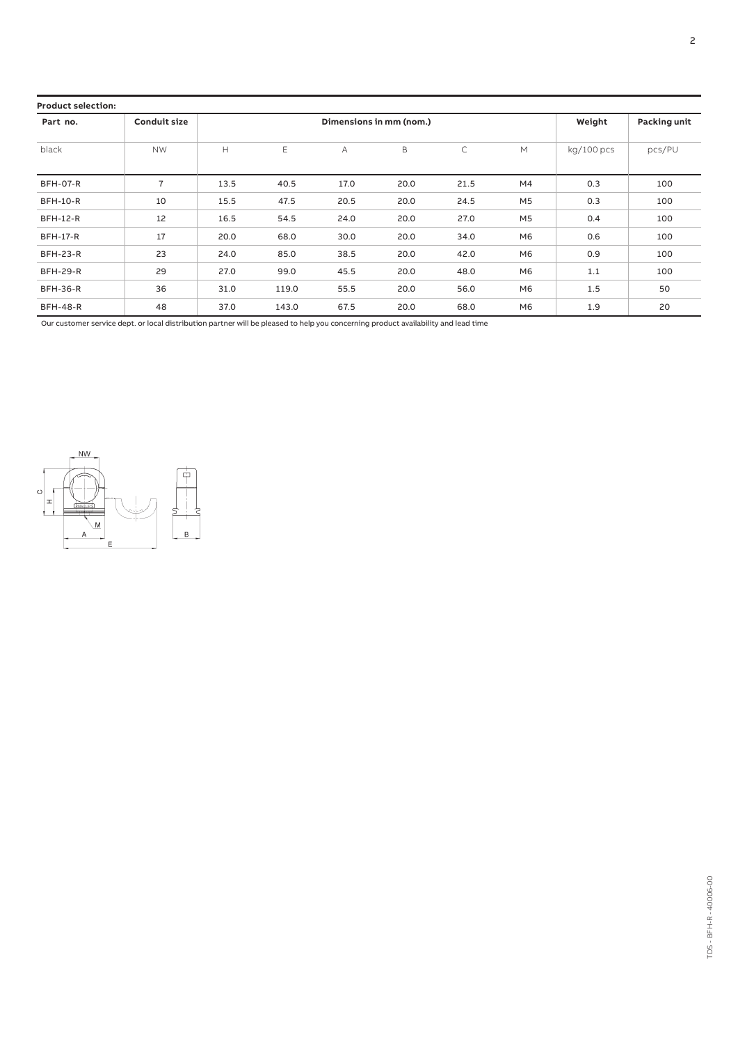| <b>Product selection:</b> |                     |                         |       |      |      |      |                |                     |        |
|---------------------------|---------------------|-------------------------|-------|------|------|------|----------------|---------------------|--------|
| Part no.                  | <b>Conduit size</b> | Dimensions in mm (nom.) |       |      |      |      | Weight         | <b>Packing unit</b> |        |
| black                     | <b>NW</b>           | H                       | Ε     | A    | B    | C    | M              | kg/100 pcs          | pcs/PU |
| <b>BFH-07-R</b>           | 7                   | 13.5                    | 40.5  | 17.0 | 20.0 | 21.5 | M4             | 0.3                 | 100    |
| <b>BFH-10-R</b>           | 10                  | 15.5                    | 47.5  | 20.5 | 20.0 | 24.5 | M <sub>5</sub> | 0.3                 | 100    |
| <b>BFH-12-R</b>           | 12                  | 16.5                    | 54.5  | 24.0 | 20.0 | 27.0 | M <sub>5</sub> | 0.4                 | 100    |
| <b>BFH-17-R</b>           | 17                  | 20.0                    | 68.0  | 30.0 | 20.0 | 34.0 | M <sub>6</sub> | 0.6                 | 100    |
| <b>BFH-23-R</b>           | 23                  | 24.0                    | 85.0  | 38.5 | 20.0 | 42.0 | M <sub>6</sub> | 0.9                 | 100    |
| <b>BFH-29-R</b>           | 29                  | 27.0                    | 99.0  | 45.5 | 20.0 | 48.0 | M <sub>6</sub> | 1.1                 | 100    |
| <b>BFH-36-R</b>           | 36                  | 31.0                    | 119.0 | 55.5 | 20.0 | 56.0 | M <sub>6</sub> | 1.5                 | 50     |
| <b>BFH-48-R</b>           | 48                  | 37.0                    | 143.0 | 67.5 | 20.0 | 68.0 | M6             | 1.9                 | 20     |

Our customer service dept. or local distribution partner will be pleased to help you concerning product availability and lead time